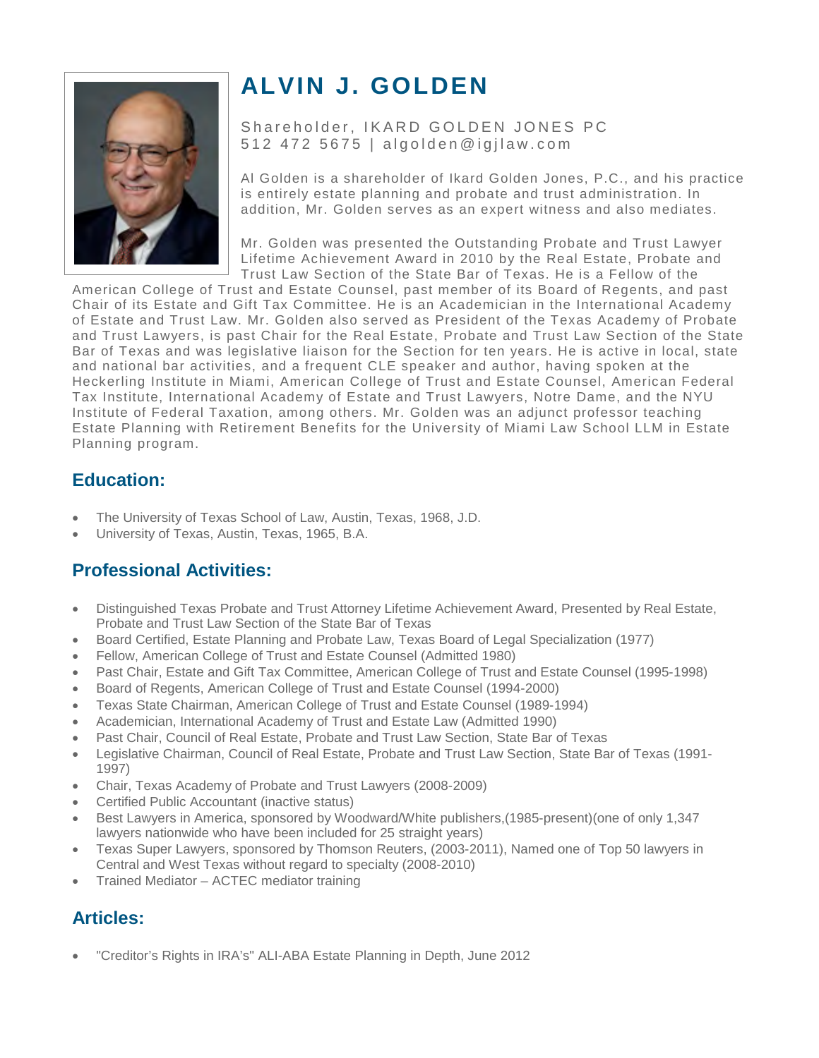

# **ALVIN J. GOLDEN**

Shareholder, IKARD GOLDEN JONES PC 512 472 5675 | algolden@igjlaw.com

Al Golden is a shareholder of Ikard Golden Jones, P.C., and his practice is entirely estate planning and probate and trust administration. In addition, Mr. Golden serves as an expert witness and also mediates.

Mr. Golden was presented the Outstanding Probate and Trust Lawyer Lifetime Achievement Award in 2010 by the Real Estate, Probate and Trust Law Section of the State Bar of Texas. He is a Fellow of the

American College of Trust and Estate Counsel, past member of its Board of Regents, and past Chair of its Estate and Gift Tax Committee. He is an Academician in the International Academy of Estate and Trust Law. Mr. Golden also served as President of the Texas Academy of Probate and Trust Lawyers, is past Chair for the Real Estate, Probate and Trust Law Section of the State Bar of Texas and was legislative liaison for the Section for ten years. He is active in local, state and national bar activities, and a frequent CLE speaker and author, having spoken at the Heckerling Institute in Miami, American College of Trust and Estate Counsel, American Federal Tax Institute, International Academy of Estate and Trust Lawyers, Notre Dame, and the NYU Institute of Federal Taxation, among others. Mr. Golden was an adjunct professor teaching Estate Planning with Retirement Benefits for the University of Miami Law School LLM in Estate Planning program.

## **[Education:](http://igjlaw.com/alvinjgolden.html)**

- The University of Texas School of Law, Austin, Texas, 1968, J.D.
- University of Texas, Austin, Texas, 1965, B.A.

## **[Professional Activities:](http://igjlaw.com/alvinjgolden.html)**

- Distinguished Texas Probate and Trust Attorney Lifetime Achievement Award, Presented by Real Estate, Probate and Trust Law Section of the State Bar of Texas
- Board Certified, Estate Planning and Probate Law, Texas Board of Legal Specialization (1977)
- Fellow, American College of Trust and Estate Counsel (Admitted 1980)
- Past Chair, Estate and Gift Tax Committee, American College of Trust and Estate Counsel (1995-1998)
- Board of Regents, American College of Trust and Estate Counsel (1994-2000)
- Texas State Chairman, American College of Trust and Estate Counsel (1989-1994)
- Academician, International Academy of Trust and Estate Law (Admitted 1990)
- Past Chair, Council of Real Estate, Probate and Trust Law Section, State Bar of Texas
- Legislative Chairman, Council of Real Estate, Probate and Trust Law Section, State Bar of Texas (1991- 1997)
- Chair, Texas Academy of Probate and Trust Lawyers (2008-2009)
- Certified Public Accountant (inactive status)
- Best Lawyers in America, sponsored by Woodward/White publishers,(1985-present)(one of only 1,347 lawyers nationwide who have been included for 25 straight years)
- Texas Super Lawyers, sponsored by Thomson Reuters, (2003-2011), Named one of Top 50 lawyers in Central and West Texas without regard to specialty (2008-2010)
- Trained Mediator ACTEC mediator training

## **[Articles:](http://igjlaw.com/alvinjgolden.html)**

• ["Creditor's Rights in IRA's" ALI-ABA Estate Planning in Depth, June 2012](http://igjlaw.com/alvin_golden_articles/CREDITORS%20RIGHTS%20IN%20IRASAlvin%20J.pdf)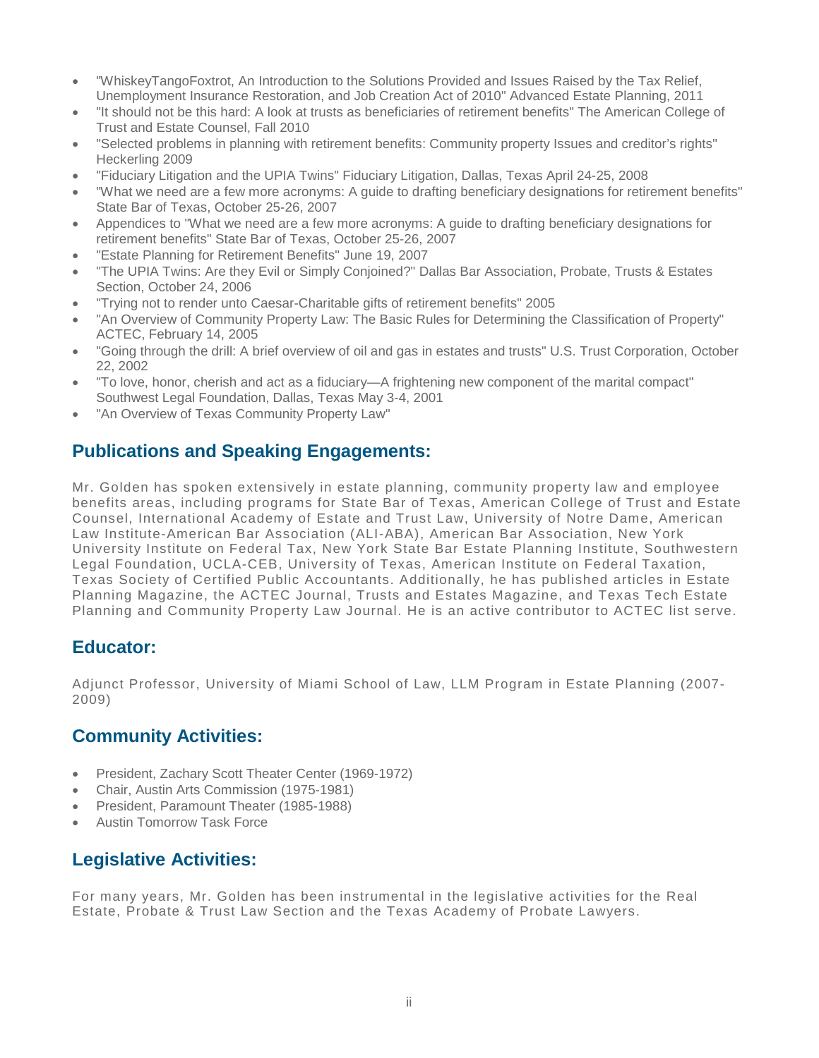- ["WhiskeyTangoFoxtrot, An Introduction to the Solutions Provided and Issues Raised by the Tax Relief,](http://igjlaw.com/alvin_golden_articles/The%20Two-Year%20Solution%20--%20An%20Introduction%20to%20the%20Solutions%20Provided%20and%20Issues%20Raised%20by%20the%20Tax%20Reli.pdf)  [Unemployment Insurance Restoration, and Job Creation Act of 2010" Advanced Estate Planning, 2011](http://igjlaw.com/alvin_golden_articles/The%20Two-Year%20Solution%20--%20An%20Introduction%20to%20the%20Solutions%20Provided%20and%20Issues%20Raised%20by%20the%20Tax%20Reli.pdf)
- ["It should not be this hard: A look at trusts as beneficiaries of retirement benefits" The American College of](http://igjlaw.com/alvin_golden_articles/Revisions%20ACTEC%20Journal.pdf)  [Trust and Estate Counsel, Fall 2010](http://igjlaw.com/alvin_golden_articles/Revisions%20ACTEC%20Journal.pdf)
- ["Selected problems in planning with retirement benefits: Community property Issues and creditor's rights"](http://igjlaw.com/alvin_golden_articles/texastech.pdf)  [Heckerling 2009](http://igjlaw.com/alvin_golden_articles/texastech.pdf)
- ["Fiduciary Litigation and the UPIA Twins" Fiduciary Litigation, Dallas, Texas April 24-25, 2008](http://igjlaw.com/alvin_golden_articles/UPIA%20speech.fidlit08.pdf)
- ["What we need are a few more acronyms: A guide to drafting beneficiary designations for retirement benefits"](http://igjlaw.com/alvin_golden_articles/Paper.pdf)  [State Bar of Texas, October 25-26, 2007](http://igjlaw.com/alvin_golden_articles/Paper.pdf)
- [Appendices to "What we need are a few more acronyms: A guide to drafting beneficiary designations for](http://igjlaw.com/alvin_golden_articles/Appendices.pdf)  [retirement benefits" State Bar of Texas, October 25-26, 2007](http://igjlaw.com/alvin_golden_articles/Appendices.pdf)
- ["Estate Planning for Retirement Benefits" June 19, 2007](http://igjlaw.com/alvin_golden_articles/updated2.pdf)
- ["The UPIA Twins: Are they Evil or Simply Conjoined?" Dallas Bar Association, Probate, Trusts & Estates](http://igjlaw.com/alvin_golden_articles/UPIA%20speech.Dallasprobate.pdf)  [Section, October 24, 2006](http://igjlaw.com/alvin_golden_articles/UPIA%20speech.Dallasprobate.pdf)
- ["Trying not to render unto Caesar-Charitable gifts of retirement benefits" 2005](http://igjlaw.com/alvin_golden_articles/Golden.pdf)
- ["An Overview of Community Property Law: The Basic Rules for Determining the Classification of Property"](http://igjlaw.com/alvin_golden_articles/ACTECCP.pdf)  [ACTEC, February 14, 2005](http://igjlaw.com/alvin_golden_articles/ACTECCP.pdf)
- ["Going through the drill: A brief overview of oil and gas in estates and trusts" U.S. Trust Corporation, October](http://igjlaw.com/alvin_golden_articles/O&G%20Paper.Final.pdf)  [22, 2002](http://igjlaw.com/alvin_golden_articles/O&G%20Paper.Final.pdf)
- "To love, honor, cherish and [act as a fiduciary—A frightening new component of the marital compact"](http://igjlaw.com/alvin_golden_articles/FIDUDUT2000.SBT2.pdf)  [Southwest Legal Foundation, Dallas, Texas May 3-4, 2001](http://igjlaw.com/alvin_golden_articles/FIDUDUT2000.SBT2.pdf)
- "An Overview of Texas Community Property Law"

## **[Publications and Speaking Engagements:](http://igjlaw.com/alvinjgolden.html)**

Mr. Golden has spoken extensively in estate planning, community property law and employee benefits areas, including programs for State Bar of Texas, American College of Trust and Estate Counsel, International Academy of Estate and Trust Law, University of Notre Dame, American Law Institute-American Bar Association (ALI-ABA), American Bar Association, New York University Institute on Federal Tax, New York State Bar Estate Planning Institute, Southwestern Legal Foundation, UCLA-CEB, University of Texas, American Institute on Federal Taxation, Texas Society of Certified Public Accountants. Additionally, he has published articles in Estate Planning Magazine, the ACTEC Journal, Trusts and Estates Magazine, and Texas Tech Estate Planning and Community Property Law Journal. He is an active contributor to ACTEC list serve.

#### **[Educator:](http://igjlaw.com/alvinjgolden.html)**

Adjunct Professor, University of Miami School of Law, LLM Program in Estate Planning (2007- 2009)

#### **[Community Activities:](http://igjlaw.com/alvinjgolden.html)**

- President, Zachary Scott Theater Center (1969-1972)
- Chair, Austin Arts Commission (1975-1981)
- President, Paramount Theater (1985-1988)
- Austin Tomorrow Task Force

#### **[Legislative Activities:](http://igjlaw.com/alvinjgolden.html)**

For many years, Mr. Golden has been instrumental in the legislative activities for the Real Estate, Probate & Trust Law Section and the Texas Academy of Probate Lawyers.